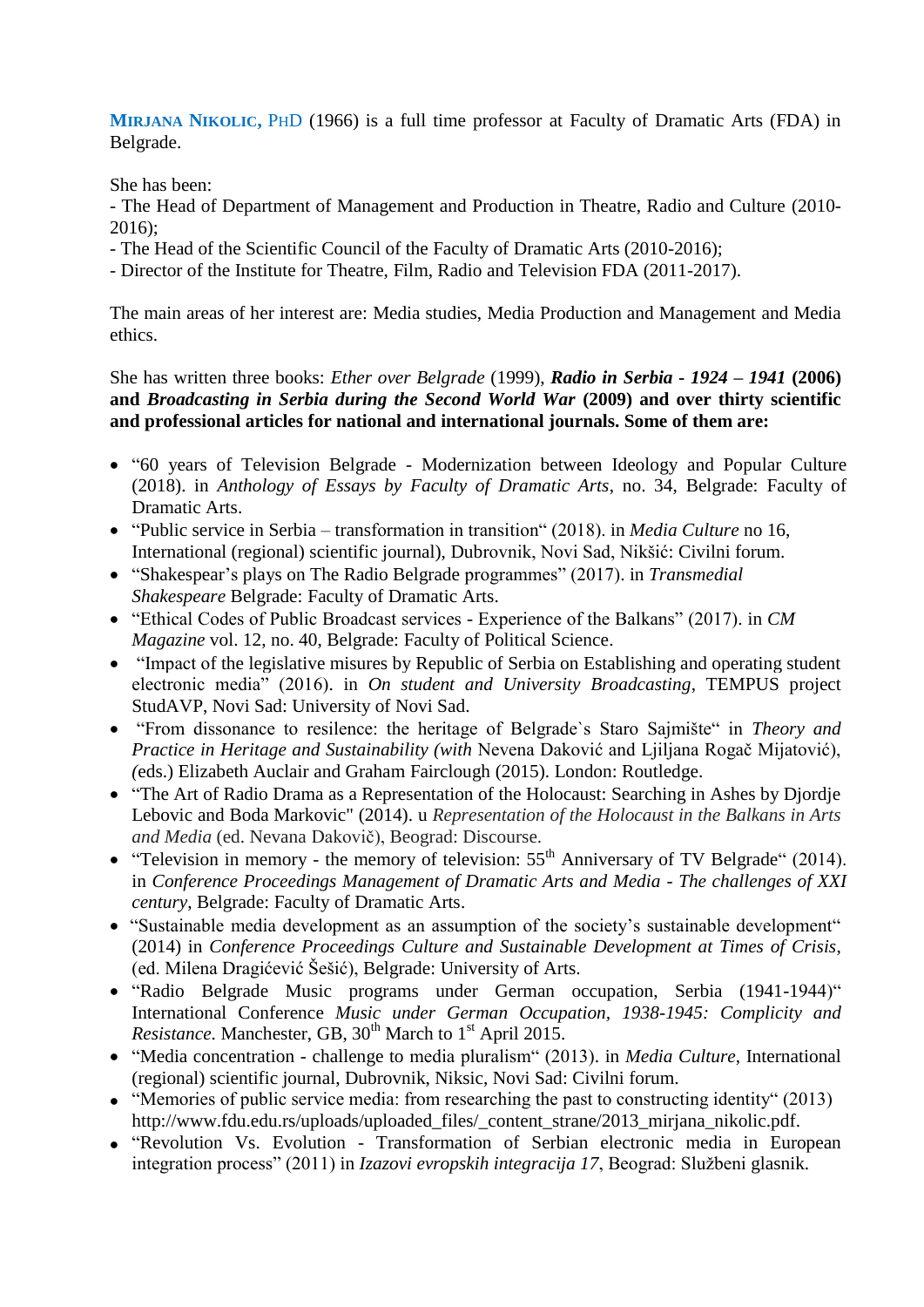**MIRJANA NIKOLIC,** PHD (1966) is a full time professor at Faculty of Dramatic Arts (FDA) in Belgrade.

She has been:

- The Head of Department of Management and Production in Theatre, Radio and Culture (2010- 2016);

- The Head of the Scientific Council of the Faculty of Dramatic Arts (2010-2016);
- Director of the Institute for Theatre, Film, Radio and Television FDA (2011-2017).

The main areas of her interest are: Media studies, Media Production and Management and Media ethics.

She has written three books: *Ether over Belgrade* (1999), *Radio in Serbia - 1924 – 1941* **(2006) and** *Broadcasting in Serbia during the Second World War* **(2009) and over thirty scientific and professional articles for national and international journals. Some of them are:**

- "60 years of Television Belgrade Modernization between Ideology and Popular Culture (2018). in *Anthology of Essays by Faculty of Dramatic Arts*, no. 34, Belgrade: Faculty of Dramatic Arts.
- "Public service in Serbia transformation in transition" (2018). in *Media Culture* no 16, International (regional) scientific journal), Dubrovnik, Novi Sad, Nikšić: Civilni forum.
- "Shakespear's plays on The Radio Belgrade programmes" (2017). in *Transmedial Shakespeare* Belgrade: Faculty of Dramatic Arts.
- "Ethical Codes of Public Broadcast services Experience of the Balkans" (2017). in *CM Magazine* vol. 12, no. 40, Belgrade: Faculty of Political Science.
- "Impact of the legislative misures by Republic of Serbia on Establishing and operating student electronic media" (2016). in *On student and University Broadcasting*, TEMPUS project StudAVP, Novi Sad: University of Novi Sad.
- "From dissonance to resilence: the heritage of Belgrade`s Staro Sajmište" in *Theory and Practice in Heritage and Sustainability (with* Nevena Daković and Ljiljana Rogač Mijatović), *(*eds.) Elizabeth Auclair and Graham Fairclough (2015). London: Routledge.
- "The Art of Radio Drama as a Representation of the Holocaust: Searching in Ashes by Djordje Lebovic and Boda Markovic" (2014). u *Representation of the Holocaust in the Balkans in Arts and Media* (ed. Nevana Dakovič), Beograd: Discourse.
- "Television in memory the memory of television:  $55<sup>th</sup>$  Anniversary of TV Belgrade" (2014). in *Conference Proceedings Management of Dramatic Arts and Media - The challenges of XXI century*, Belgrade: Faculty of Dramatic Arts.
- "Sustainable media development as an assumption of the society's sustainable development" (2014) in *Conference Proceedings Culture and Sustainable Development at Times of Crisis*, (ed. Milena Dragićević Šešić), Belgrade: University of Arts.
- "Radio Belgrade Music programs under German occupation, Serbia (1941-1944)" International Conference *Music under German Occupation, 1938-1945: Complicity and Resistance*. Manchester, GB, 30<sup>th</sup> March to 1<sup>st</sup> April 2015.
- "Media concentration challenge to media pluralism" (2013). in *Media Culture*, International (regional) scientific journal, Dubrovnik, Niksic, Novi Sad: Civilni forum.
- "Memories of public service media: from researching the past to constructing identity" (2013) http://www.fdu.edu.rs/uploads/uploaded\_files/\_content\_strane/2013\_mirjana\_nikolic.pdf.
- "Revolution Vs. Evolution Transformation of Serbian electronic media in European integration process" (2011) in *Izazovi evropskih integracija 17*, Beograd: Službeni glasnik.